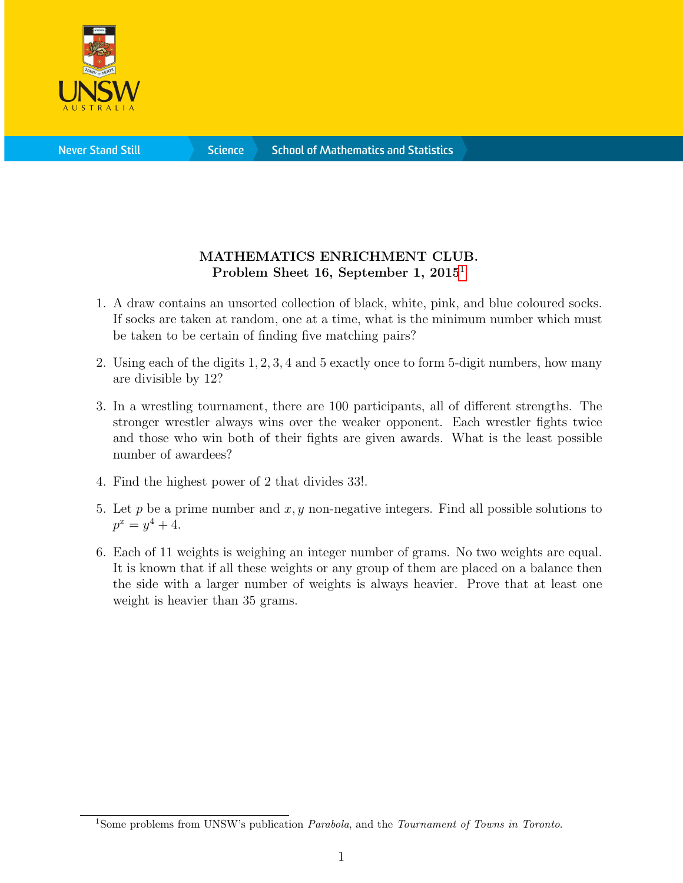

**Science** 

## MATHEMATICS ENRICHMENT CLUB. Problem Sheet [1](#page-0-0)6, September 1, 2015<sup>1</sup>

- 1. A draw contains an unsorted collection of black, white, pink, and blue coloured socks. If socks are taken at random, one at a time, what is the minimum number which must be taken to be certain of finding five matching pairs?
- 2. Using each of the digits 1, 2, 3, 4 and 5 exactly once to form 5-digit numbers, how many are divisible by 12?
- 3. In a wrestling tournament, there are 100 participants, all of different strengths. The stronger wrestler always wins over the weaker opponent. Each wrestler fights twice and those who win both of their fights are given awards. What is the least possible number of awardees?
- 4. Find the highest power of 2 that divides 33!.
- 5. Let p be a prime number and  $x, y$  non-negative integers. Find all possible solutions to  $p^x = y^4 + 4.$
- 6. Each of 11 weights is weighing an integer number of grams. No two weights are equal. It is known that if all these weights or any group of them are placed on a balance then the side with a larger number of weights is always heavier. Prove that at least one weight is heavier than 35 grams.

<span id="page-0-0"></span><sup>&</sup>lt;sup>1</sup>Some problems from UNSW's publication *Parabola*, and the *Tournament of Towns in Toronto*.